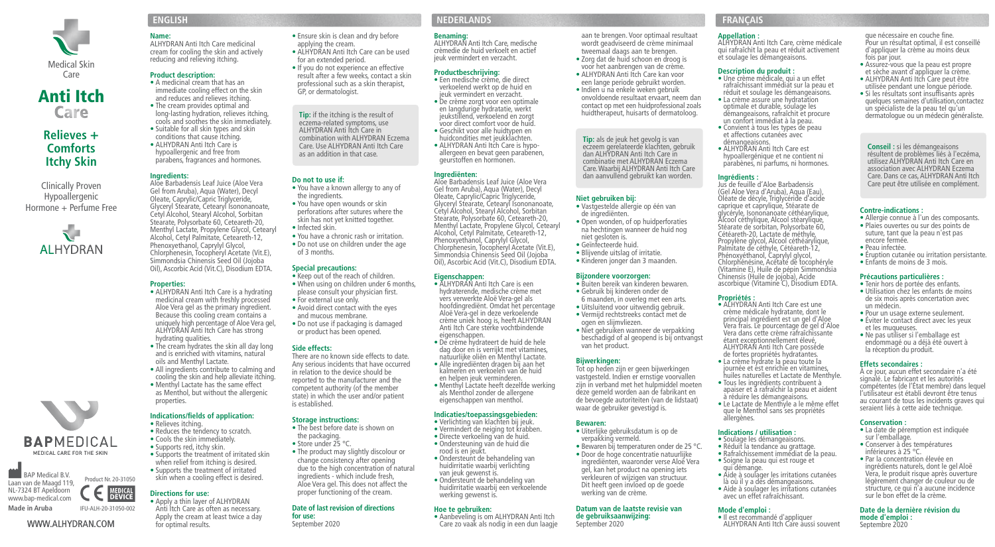

# **Anti Itch<br>Care**

## **Relieves + Comforts Itchy Skin**

Hypoallergenic Hormone + Perfume Free



**Name:**  ALHYDRAN Anti Itch Care medicinal cream for cooling the skin and actively reducing and relieving itching.

### **Product description:**

- A medicinal cream that has an immediate cooling effect on the skin and reduces and relieves itching.
- The cream provides optimal and
- Suitable for all skin types and skin conditions that cause itching. • ALHYDRAN Anti Itch Care is hypoallergenic and free from parabens, fragrances and hormones.

### **Ingredients:**

Aloe Barbadensis Leaf Juice (Aloe Vera Gel from Aruba), Aqua (Water), Decyl Oleate, Caprylic/Capric Triglyceride, Glyceryl Stearate, Cetearyl Isononanoate, Cetyl Alcohol, Stearyl Alcohol, Sorbitan Stearate, Polysorbate 60, Ceteareth-20, Menthyl Lactate, Propylene Glycol, Cetearyl Alcohol, Cetyl Palmitate, Ceteareth-12, Phenoxyethanol, Caprylyl Glycol, Chlorphenesin, Tocopheryl Acetate (Vit.E), Simmondsia Chinensis Seed Oil (Jojoba Oil), Ascorbic Acid (Vit.C), Disodium EDTA. Clinically Proven and the Barbadensis Leaf utilisée en complément.<br>Cal from Arthol Artic Motor Number New Prou have a known allergy to any of Gel from Artibal Agua (Water) Deryl

### **Properties:**

- ALHYDRAN Anti Itch Care is a hydrating medicinal cream with freshly processed Aloe Vera gel as the primary ingredient. Because this cooling cream contains a uniquely high percentage of Aloe Vera gel, ALHYDRAN Anti Itch Care has strong hydrating qualities.
- The cream hydrates the skin all day long and is enriched with vitamins, natural oils and Menthyl Lactate.
- All ingredients contribute to calming and cooling the skin and help alleviate itching.
- Menthyl Lactate has the same effect as Menthol, but without the allergenic properties.

### **Indications/fields of application:**  • Relieves itching.

skin when a cooling effect is desired.

• Apply a thin layer of ALHYDRAN Anti Itch Care as often as necessary. Apply the cream at least twice a day

- Reduces the tendency to scratch.
- Cools the skin immediately.

**Directions for use:** 

for optimal results.

**BAPMEDICAL** • Supports red, itchy skin. MEDICAL CARE FOR THE SKIN

**BAP Medical B.V.** Product Nr. 20-31050 Laan van de Maagd 119, NL-7324 BT Apeldoorn **MEDICAL**<br>**DEVICE** www.bap-medical.com **Made in Aruba** IFU-ALH-20-31050-002

## WWW.ALHYDRAN.COM

- 
- long-lasting hydration, relieves itching, cools and soothes the skin immediately.
- 

• You have a known allergy to any of the ingredients. • You have open wounds or skin perforations after sutures where the skin has not yet knitted together. • Infected skin. • You have a chronic rash or irritation. • Do not use on children under the age of 3 months.

• Keep out of the reach of children. • When using on children under 6 months, please consult your physician first.

**Special precautions:** 

applying the cream.

for an extended period.

GP, or dermatologist.

**Do not to use if:** 

• ALHYDRAN Anti Itch Care can be used

• If you do not experience an effective result after a few weeks, contact a skin professional such as a skin therapist,

**Tip:** if the itching is the result of eczema-related symptoms, use ALHYDRAN Anti Itch Care in combination with ALHYDRAN Eczema Care. Use ALHYDRAN Anti Itch Care as an addition in that case.

- For external use only. • Avoid direct contact with the eyes
- and mucous membrane. • Do not use if packaging is damaged or product has been opened.

### **Side effects:**

There are no known side effects to date. Any serious incidents that have occurred in relation to the device should be reported to the manufacturer and the competent authority (of the member state) in which the user and/or patient

## is established.

- **Storage instructions:**  • The best before date is shown on the packaging.
- Store under 25 °C.
- Supports the treatment of irritated skin when relief from itching is desired. • Supports the treatment of irritated • The product may slightly discolour or change consistency after opening due to the high concentration of natural
	- ingredients which include fresh, Aloe Vera gel. This does not affect the proper functioning of the cream.

## **Date of last revision of directions**

**for use:**  September 2020

## **ENGLISH NEDERLANDS FRANÇAIS**

### **Benaming:** • Ensure skin is clean and dry before

ALHYDRAN Anti Itch Care, medische crèmedie de huid verkoelt en actief jeuk vermindert en verzacht.

### **Productbeschrijving:**

- Een medische crème, die direct verkoelend werkt op de huid en jeuk vermindert en verzacht. • De crème zorgt voor een optimale en langdurige hydratatie, werkt jeukstillend, verkoelend en zorgt voor direct comfort voor de huid. • Geschikt voor alle huidtypen en
- huidcondities met jeukklachten. • ALHYDRAN Anti Itch Care is hypoallergeen en bevat geen parabenen, geurstoffen en hormonen.

### **Ingrediënten:**

Aloe Barbadensis Leaf Juice (Aloe Vera Gel from Aruba), Aqua (Water), Decyl Oleate, Caprylic/Capric Triglyceride, Glyceryl Stearate, Cetearyl Isononanoate, Cetyl Alcohol, Stearyl Alcohol, Sorbitan Stearate, Polysorbate 60, Ceteareth-20, Menthyl Lactate, Propylene Glycol, Cetearyl Alcohol, Cetyl Palmitate, Ceteareth-12, Phenoxyethanol, Caprylyl Glycol, Chlorphenesin, Tocopheryl Acetate (Vit.E), Simmondsia Chinensis Seed Oil (Jojoba Oil), Ascorbic Acid (Vit.C), Disodium EDTA.

### **Eigenschappen:**

- ALHYDRAN Anti Itch Care is een hydraterende, medische crème met vers verwerkte Aloë Vera-gel als hoofdingrediënt. Omdat het percentage Aloë Vera-gel in deze verkoelende crème uniek hoog is, heeft ALHYDRAN Anti Itch Care sterke vochtbindende eigenschappen.
- De crème hydrateert de huid de hele dag door en is verrijkt met vitamines, natuurlijke oliën en Menthyl Lactate. • Alle ingrediënten dragen bij aan het
- kalmeren en verkoelen van de huid en helpen jeuk verminderen.
- Menthyl Lactate heeft dezelfde werking als Menthol zonder de allergene eigenschappen van menthol.

### **Indicaties/toepassingsgebieden:**

- Verlichting van klachten bij jeuk.
- Vermindert de neiging tot krabben. • Directe verkoeling van de huid.
- Ondersteuning van de huid die rood is en jeukt.
- Ondersteunt de behandeling van huidirritatie waarbij verlichting van jeuk gewenst is.
- Ondersteunt de behandeling van huidirritatie waarbij een verkoelende werking gewenst is.

### **Hoe te gebruiken:**

• Aanbeveling is om ALHYDRAN Anti Itch Care zo vaak als nodig in een dun laagje

### **Appellation :**

aan te brengen. Voor optimaal resultaat wordt geadviseerd de crème minimaal tweemaal daags aan te brengen. • Zorg dat de huid schoon en droog is voor het aanbrengen van de crème. • ALHYDRAN Anti Itch Care kan voor een lange periode gebruikt worden. • Indien u na enkele weken gebruik onvoldoende resultaat ervaart, neem dan contact op met een huidprofessional zoals huidtherapeut, huisarts of dermatoloog.

**Tip:** als de jeuk het gevolg is van eczeem gerelateerde klachten, gebruik dan ALHYDRAN Anti Itch Care in combinatie met ALHYDRAN Eczema Care. Waarbij ALHYDRAN Anti Itch Care dan aanvullend gebruikt kan worden.

**Niet gebruiken bij:**

de ingrediënten.

niet gesloten is. • Geïnfecteerde huid. • Blijvende uitslag of irritatie. • Kinderen jonger dan 3 maanden.

**Bijzondere voorzorgen:** 

ogen en slijmvliezen.

van het product. **Bijwerkingen:**

**Bewaren:** 

• Vastgestelde allergie op één van

• Open wonden, of op huidperforaties na hechtingen wanneer de huid nog

• Buiten bereik van kinderen bewaren. • Gebruik bij kinderen onder de 6 maanden, in overleg met een arts. • Uitsluitend voor uitwendig gebruik. • Vermijd rechtstreeks contact met de

• Niet gebruiken wanneer de verpakking beschadigd of al geopend is bij ontvangst

Tot op heden zijn er geen bijwerkingen vastgesteld. Indien er ernstige voorvallen zijn in verband met het hulpmiddel moeten deze gemeld worden aan de fabrikant en de bevoegde autoriteiten (van de lidstaat) waar de gebruiker gevestigd is.

• Uiterlijke gebruiksdatum is op de verpakking vermeld.

**Datum van de laatste revisie van de gebruiksaanwijzing:** September 2020

werking van de crème.

• Bewaren bij temperaturen onder de 25 °C. • Door de hoge concentratie natuurlijke ingrediënten, waaronder verse Aloë Vera gel, kan het product na opening iets verkleuren of wijzigen van structuur. Dit heeft geen invloed op de goede

ALHYDRAN Anti Itch Care, crème médicale qui rafraîchit la peau et réduit activement et soulage les démangeaisons.

### **Description du produit :**

- Une crème médicale, qui a un effet rafraîchissant immédiat sur la peau et réduit et soulage les démangeaisons. • La crème assure une hydratation<br>optimale et durable, soulage les démangeaisons, rafraîchit et procure un confort immédiat à la peau.
- Convient à tous les types de peau et affections cutanées avec démangeaisons. • ALHYDRAN Anti Itch Care est

hypoallergénique et ne contient ni parabènes, ni parfums, ni hormones.

### **Ingrédients :**

Jus de feuille d'Aloe Barbadensis (Gel Aloe Vera d'Aruba), Aqua (Eau), Oléate de décyle, Triglycéride d'acide caprique et caprylique, Stéarate de glycéryle, Isononanoate céthéarylique, Alcool céthylique, Alcool stéarylique, Stéarate de sorbitan, Polysorbate 60, Cétéareth-20, Lactate de méthyle, Propylène glycol, Alcool céthéarylique, Palmitate de céthyle, Cétéareth-12, Phénoxyéthanol, Caprylyl glycol, Chlorphénésine, Acétate de tocophéryle (Vitamine E), Huile de pépin Simmondsia Chinensis (Huile de jojoba), Acide ascorbique (Vitamine C), Disodium EDTA.

### **Propriétés :**

• ALHYDRAN Anti Itch Care est une crème médicale hydratante, dont le principal ingrédient est un gel d'Aloe Vera frais. Le pourcentage de gel d'Aloe Vera dans cette crème rafraîchissante<br>étant exceptionnellement élevé. ALHYDRAN Anti Itch Care possède de fortes propriétés hydratantes.<br>• La crème hydrate la peau toute la

- journée et est enrichie en vitamines huiles naturelles et Lactate de Menthyle.
- Tous les ingrédients contribuent à apaiser et à rafraîchir la peau et aident à réduire les démangeaisons.
- Le Lactate de Menthyle a le même effet que le Menthol sans ses propriétés allergènes. au courant de tous les incidents graves qui seraient liés à cette aide technique.

## **Indications / utilisation :**

- Soulage les démangeaisons.
- Réduit la tendance au grattage. • Rafraîchissement immédiat de la peau.
- Soigne la peau qui est rouge et
- qui démange. • Aide à soulager les irritations cutanées
- là où il y a des démangeaisons.
- Aide à soulager les irritations cutanées
- avec un effet rafraîchissant.

## **Mode d'emploi :<br>● Il est recommandé d'appliquer**

ALHYDRAN Anti Itch Care aussi souvent

que nécessaire en couche fine. Pour un résultat optimal, il est conseillé d'appliquer la crème au moins deux fois par jour.

- Assurez-vous que la peau est propre et sèche avant d'appliquer la crème.
- ALHYDRAN Anti Itch Care peut être utilisée pendant une longue période. • Si les résultats sont insuffisants après quelques semaines d'utilisation,contactez un spécialiste de la peau tel qu'un dermatologue ou un médecin généraliste.

**Conseil :** si les démangeaisons résultent de problèmes liés à l'eczéma, utilisez ALHYDRAN Anti Itch Care en association avec ALHYDRAN Eczema Care. Dans ce cas, ALHYDRAN Anti Itch

### **Contre-indications :**

- Allergie connue à l'un des composants. • Plaies ouvertes ou sur des points de
- suture, tant que la peau n'est pas encore fermée. • Peau infectée.
- Éruption cutanée ou irritation persistante.
- Enfants de moins de 3 mois.

**Précautions particulières :** 

• Tenir hors de portée des enfants. • Utilisation chez les enfants de moins de six mois après concertation avec un médecin. • Pour un usage externe seulement.

• Éviter le contact direct avec les yeux et les muqueuses.<br>• Ne pas utiliser si l'emballage est endommagé ou a déjà été ouvert à la réception du produit. **Effets secondaires :** 

À ce jour, aucun effet secondaire n'a été signalé. Le fabricant et les autorités compétentes (de l'État membre) dans lequel l'utilisateur est établi devront être tenus

• La date de péremption est indiquée

• Conserver à des températures inférieures à 25 °C. • Par la concentration élevée en ingrédients naturels, dont le gel Aloë Vera, le produit risque après ouverture légèrement changer de couleur ou de structure, ce qui n'a aucune incidence sur le bon effet de la crème. **Date de la dernière révision du**

**Conservation :** 

sur l'emballage.

**mode d'emploi :**  Septembre 2020